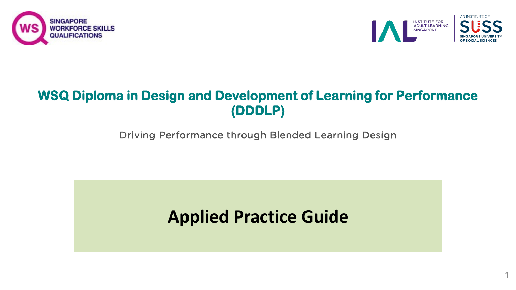



1

### **WSQ Diploma in Design and Development of Learning for Performance (DDDLP)**

Driving Performance through Blended Learning Design

### **Applied Practice Guide**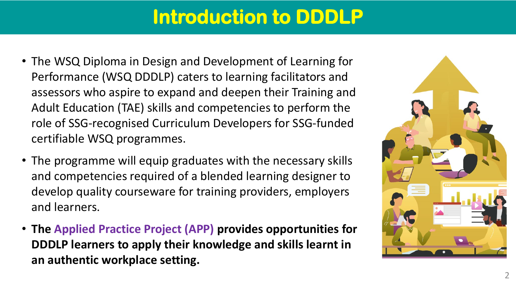## **Introduction to DDDLP**

- The WSQ Diploma in Design and Development of Learning for Performance (WSQ DDDLP) caters to learning facilitators and assessors who aspire to expand and deepen their Training and Adult Education (TAE) skills and competencies to perform the role of SSG-recognised Curriculum Developers for SSG-funded certifiable WSQ programmes.
- The programme will equip graduates with the necessary skills and competencies required of a blended learning designer to develop quality courseware for training providers, employers and learners.
- **The Applied Practice Project (APP) provides opportunities for DDDLP learners to apply their knowledge and skills learnt in an authentic workplace setting.**

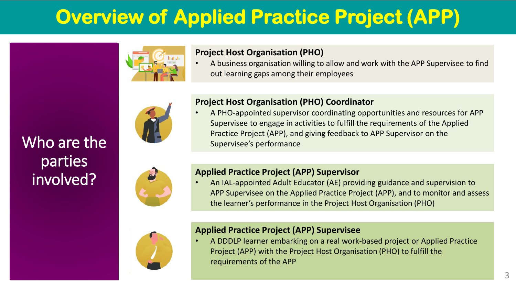

### **Project Host Organisation (PHO)**

• A business organisation willing to allow and work with the APP Supervisee to find out learning gaps among their employees



### **Project Host Organisation (PHO) Coordinator**

• A PHO-appointed supervisor coordinating opportunities and resources for APP Supervisee to engage in activities to fulfill the requirements of the Applied Practice Project (APP), and giving feedback to APP Supervisor on the Supervisee's performance



Who are the

parties

involved?

### **Applied Practice Project (APP) Supervisor**

• An IAL-appointed Adult Educator (AE) providing guidance and supervision to APP Supervisee on the Applied Practice Project (APP), and to monitor and assess the learner's performance in the Project Host Organisation (PHO)



#### **Applied Practice Project (APP) Supervisee**

• A DDDLP learner embarking on a real work-based project or Applied Practice Project (APP) with the Project Host Organisation (PHO) to fulfill the requirements of the APP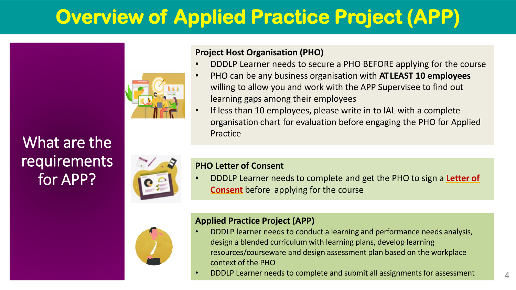

### **Project Host Organisation (PHO)**

- DDDLP Learner needs to secure a PHO BEFORE applying for the course
- PHO can be any business organisation with **AT LEAST 10 employees** willing to allow you and work with the APP Supervisee to find out learning gaps among their employees
- If less than 10 employees, please write in to IAL with a complete organisation chart for evaluation before engaging the PHO for Applied

## What are the **Example 2018** Practice requirements for APP?



#### **PHO Letter of Consent**

• DDDLP Learner needs to complete and get the PHO to sign a **Letter of Consent** before applying for the course



### **Applied Practice Project (APP)**

- DDDLP learner needs to conduct a learning and performance needs analysis, design a blended curriculum with learning plans, develop learning resources/courseware and design assessment plan based on the workplace context of the PHO
- DDDLP Learner needs to complete and submit all assignments for assessment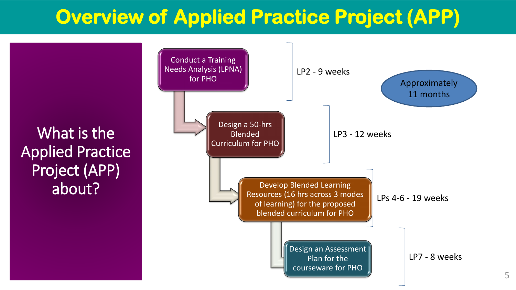What is the Applied Practice Project (APP) about?

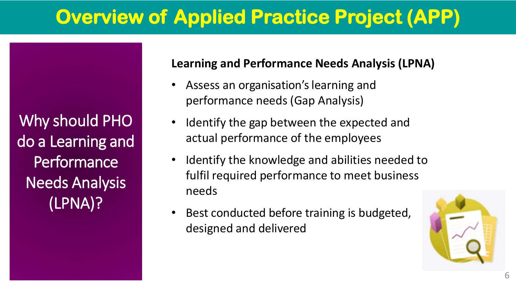Why should PHO do a Learning and **Performance** Needs Analysis (LPNA)?

### **Learning and Performance Needs Analysis (LPNA)**

- Assess an organisation's learning and performance needs (Gap Analysis)
- Identify the gap between the expected and actual performance of the employees
- fulfil required performance to meet business<br>needs • Identify the knowledge and abilities needed to needs
- Best conducted before training is budgeted, designed and delivered

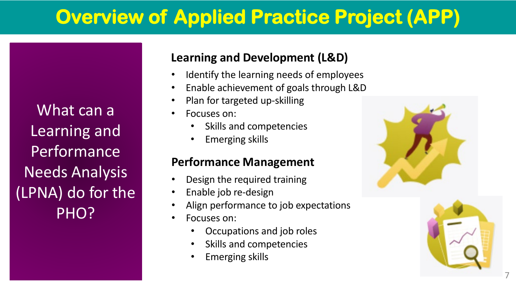What can a Learning and **Performance** Needs Analysis (LPNA) do for the PHO?

### **Learning and Development (L&D)**

- Identify the learning needs of employees
- Enable achievement of goals through L&D
- Plan for targeted up-skilling
- Focuses on:
	- Skills and competencies
	- Emerging skills

### **Performance Management**

- Design the required training
- Enable job re-design
- Align performance to job expectations
- Focuses on:
	- Occupations and job roles
	- Skills and competencies
	- Emerging skills



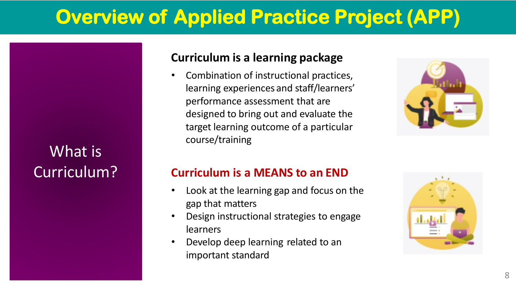### What is Curriculum?

### **Curriculum is a learning package**

• Combination of instructional practices, learning experiences and staff/learners' performance assessment that are designed to bring out and evaluate the target learning outcome of a particular course/training



### **Curriculum is a MEANS to an END**

- Look at the learning gap and focus on the gap that matters
- Design instructional strategies to engage learners
- Develop deep learning related to an important standard

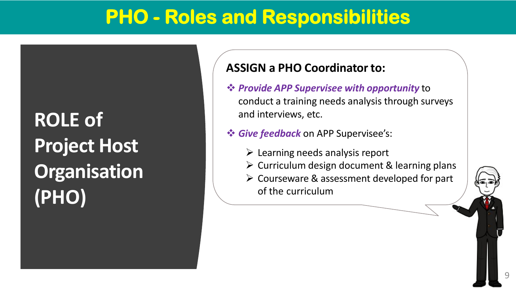## **PHO - Roles and Responsibilities**

**ROLE of Project Host Organisation (PHO)**

### **ASSIGN a PHO Coordinator to:**

- *Provide APP Supervisee with opportunity* to conduct a training needs analysis through surveys and interviews, etc.
- *Give feedback* on APP Supervisee's:
	- $\triangleright$  Learning needs analysis report
	- $\triangleright$  Curriculum design document & learning plans
	- Courseware & assessment developed for part of the curriculum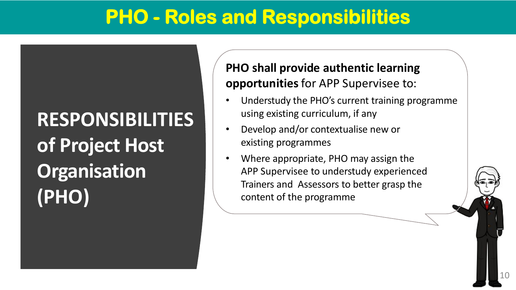## **PHO - Roles and Responsibilities**

## **RESPONSIBILITIES of Project Host Organisation (PHO)**

### **PHO shall provide authentic learning opportunities** for APP Supervisee to:

- Understudy the PHO's current training programme using existing curriculum, if any
- Develop and/or contextualise new or existing programmes
- Where appropriate, PHO may assign the APP Supervisee to understudy experienced Trainers and Assessors to better grasp the content of the programme

10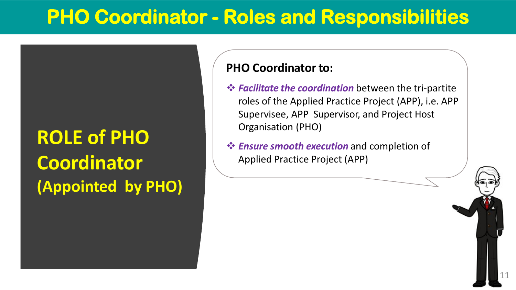## **PHO Coordinator - Roles and Responsibilities**

## **ROLE of PHO Coordinator (Appointed by PHO)**

### **PHO Coordinator to:**

 *Facilitate the coordination* between the tri-partite roles of the Applied Practice Project (APP), i.e. APP Supervisee, APP Supervisor, and Project Host Organisation (PHO)

11

 *Ensure smooth execution* and completion of Applied Practice Project (APP)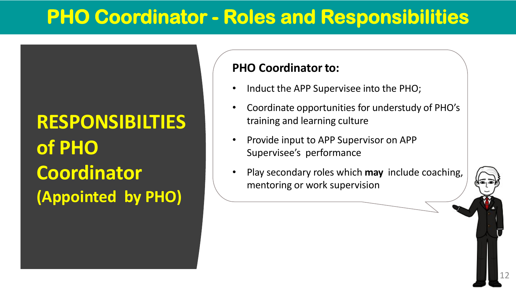## **PHO Coordinator - Roles and Responsibilities**

## **RESPONSIBILTIES of PHO Coordinator (Appointed by PHO)**

### **PHO Coordinator to:**

- Induct the APP Supervisee into the PHO;
- Coordinate opportunities for understudy of PHO's training and learning culture
- Provide input to APP Supervisor on APP Supervisee's performance
- Play secondary roles which **may** include coaching, mentoring or work supervision

12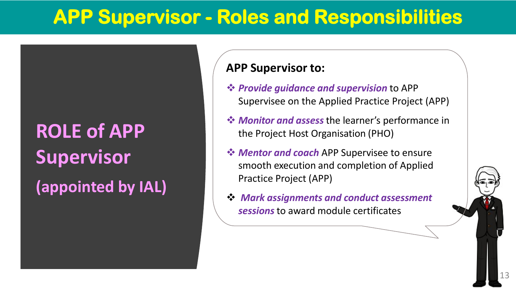## **APP Supervisor - Roles and Responsibilities**

## **ROLE of APP Supervisor**

**(appointed by IAL)**

### **APP Supervisor to:**

- *Provide guidance and supervision* to APP Supervisee on the Applied Practice Project (APP)
- *Monitor and assess* the learner's performance in the Project Host Organisation (PHO)
- *❖ Mentor and coach* APP Supervisee to ensure smooth execution and completion of Applied Practice Project (APP)
- *Mark assignments and conduct assessment sessions* to award module certificates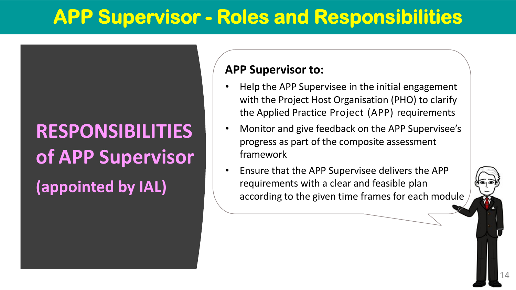## **APP Supervisor - Roles and Responsibilities**

## **RESPONSIBILITIES of APP Supervisor (appointed by IAL)**

### **APP Supervisor to:**

- Help the APP Supervisee in the initial engagement with the Project Host Organisation (PHO) to clarify the Applied Practice Project (APP) requirements
- Monitor and give feedback on the APP Supervisee's progress as part of the composite assessment framework
- Ensure that the APP Supervisee delivers the APP requirements with a clear and feasible plan according to the given time frames for each module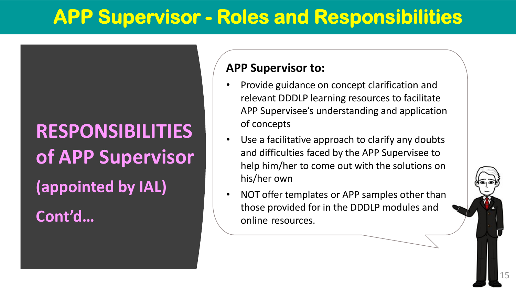## **APP Supervisor - Roles and Responsibilities**

## **RESPONSIBILITIES of APP Supervisor (appointed by IAL)**

**Cont'd…**

### **APP Supervisor to:**

- Provide guidance on concept clarification and relevant DDDLP learning resources to facilitate APP Supervisee's understanding and application of concepts
- Use a facilitative approach to clarify any doubts and difficulties faced by the APP Supervisee to help him/her to come out with the solutions on his/her own
- NOT offer templates or APP samples other than those provided for in the DDDLP modules and online resources.

15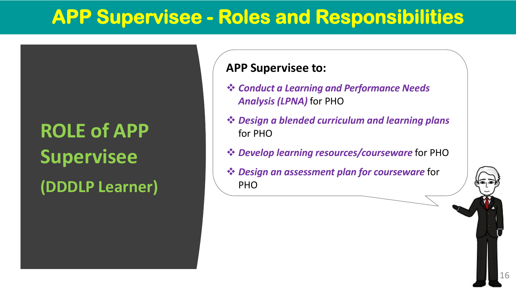## **APP Supervisee - Roles and Responsibilities**

## **ROLE of APP Supervisee (DDDLP Learner)**

### **APP Supervisee to:**

- *Conduct a Learning and Performance Needs Analysis (LPNA)* for PHO
- *Design a blended curriculum and learning plans* for PHO
- *Develop learning resources/courseware* for PHO
- *Design an assessment plan for courseware* for PHO

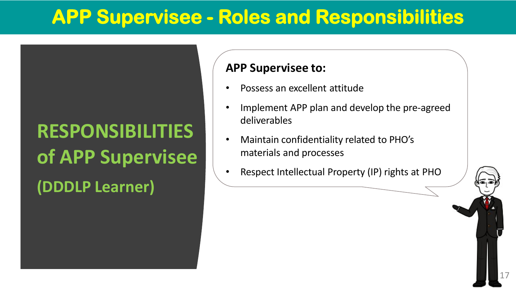## **APP Supervisee - Roles and Responsibilities**

## **RESPONSIBILITIES of APP Supervisee (DDDLP Learner)**

### **APP Supervisee to:**

- Possess an excellent attitude
- Implement APP plan and develop the pre-agreed deliverables
- Maintain confidentiality related to PHO's materials and processes
- Respect Intellectual Property (IP) rights at PHO

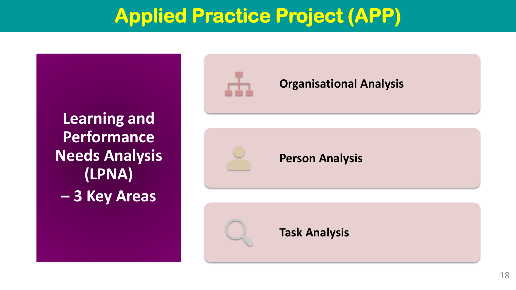## **Applied Practice Project (APP)**

**Learning and Performance Needs Analysis (LPNA) – 3 Key Areas**



### **Organisational Analysis**

**Person Analysis**



### **Task Analysis**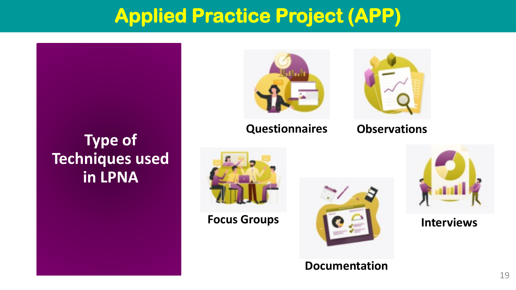## **Applied Practice Project (APP)**

### **Type of Techniques used in LPNA**



### **Questionnaires**



### **Observations**





**Documentation**

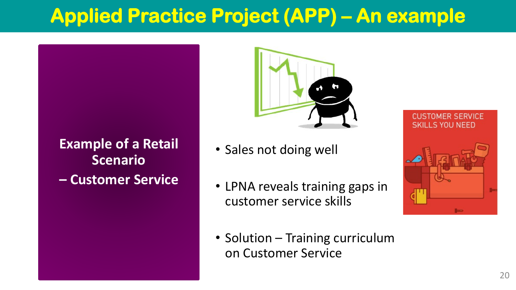## **Applied Practice Project (APP) – An example**

**Example of a Retail Scenario – Customer Service**



- Sales not doing well
- LPNA reveals training gaps in customer service skills
- Solution Training curriculum on Customer Service

#### **CUSTOMER SERVICE SKILLS YOU NEED**

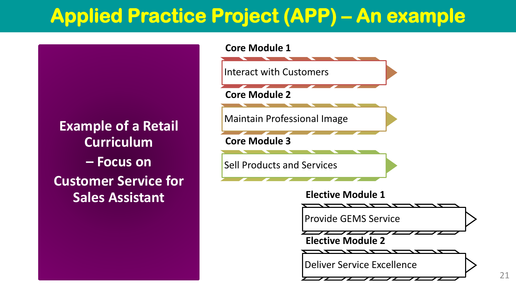## **Applied Practice Project (APP) – An example**







Deliver Service Excellence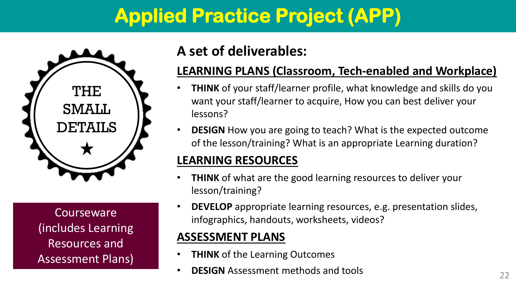## **Applied Practice Project (APP)**



**Courseware** (includes Learning Resources and Assessment Plans)

### **A set of deliverables:**

### **LEARNING PLANS (Classroom, Tech-enabled and Workplace)**

- **THINK** of your staff/learner profile, what knowledge and skills do you want your staff/learner to acquire, How you can best deliver your lessons?
- **DESIGN** How you are going to teach? What is the expected outcome of the lesson/training? What is an appropriate Learning duration?

### **LEARNING RESOURCES**

- **THINK** of what are the good learning resources to deliver your lesson/training?
- **DEVELOP** appropriate learning resources, e.g. presentation slides, infographics, handouts, worksheets, videos?

### **ASSESSMENT PLANS**

- **THINK** of the Learning Outcomes
- **DESIGN** Assessment methods and tools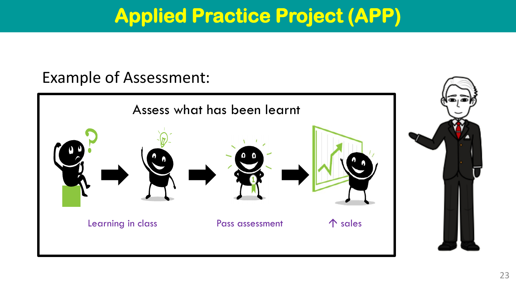## **Applied Practice Project (APP)**

### Example of Assessment:

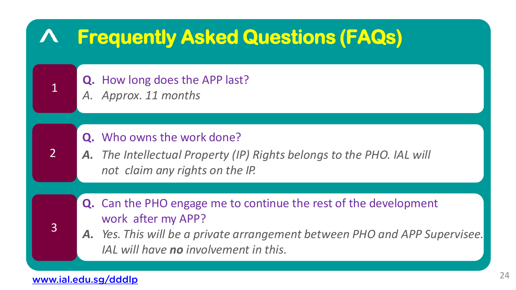

### [www.ial.edu.sg/dddlp](http://www.ial.edu.sg/dddlp) 24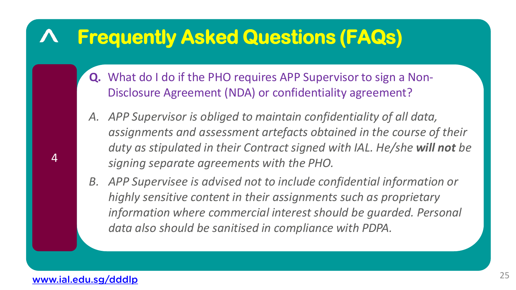- **Q.** What do I do if the PHO requires APP Supervisor to sign a Non-Disclosure Agreement (NDA) or confidentiality agreement?
- *A. APP Supervisor is obliged to maintain confidentiality of all data, assignments and assessment artefacts obtained in the course of their duty as stipulated in their Contract signed with IAL. He/she will not be signing separate agreements with the PHO.*
- *B. APP Supervisee is advised not to include confidential information or highly sensitive content in their assignments such as proprietary information where commercial interest should be guarded. Personal data also should be sanitised in compliance with PDPA.*

4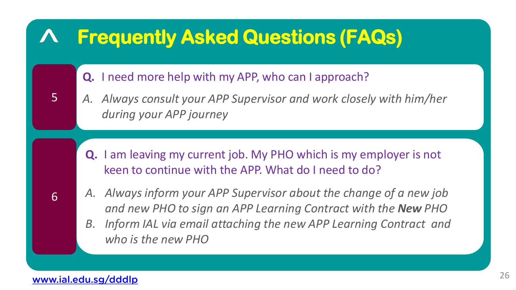

### [www.ial.edu.sg/dddlp](http://www.ial.edu.sg/dddlp)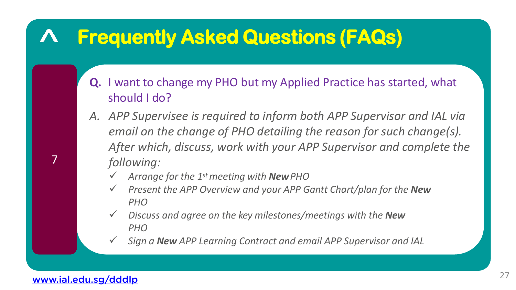- **Q.** I want to change my PHO but my Applied Practice has started, what should I do?
- *A. APP Supervisee is required to inform both APP Supervisor and IAL via email on the change of PHO detailing the reason for such change(s). After which, discuss, work with your APP Supervisor and complete the following:*
	- *Arrange for the 1st meeting with NewPHO*
	- *Present the APP Overview and your APP Gantt Chart/plan for the New PHO*
	- *Discuss and agree on the key milestones/meetings with the New PHO*
	- *Sign a New APP Learning Contract and email APP Supervisor and IAL*

### [www.ial.edu.sg/dddlp](http://www.ial.edu.sg/dddlp)

7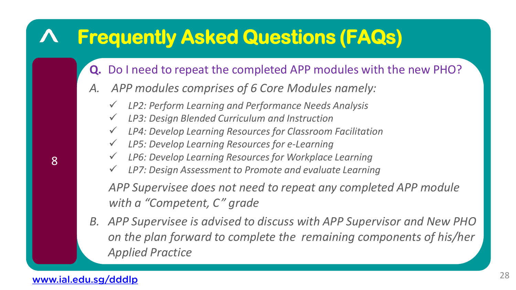- **Q.** Do I need to repeat the completed APP modules with the new PHO?
- *A. APP modules comprises of 6 Core Modules namely:*
	- *LP2: Perform Learning and Performance Needs Analysis*
	- *LP3: Design Blended Curriculum and Instruction*
	- *LP4: Develop Learning Resources for Classroom Facilitation*
	- *LP5: Develop Learning Resources for e-Learning*
	- *LP6: Develop Learning Resources for Workplace Learning*
	- *LP7: Design Assessment to Promote and evaluate Learning*

*APP Supervisee does not need to repeat any completed APP module with a "Competent, C" grade*

*B. APP Supervisee is advised to discuss with APP Supervisor and New PHO on the plan forward to complete the remaining components of his/her Applied Practice*

[www.ial.edu.sg/dddlp](http://www.ial.edu.sg/dddlp)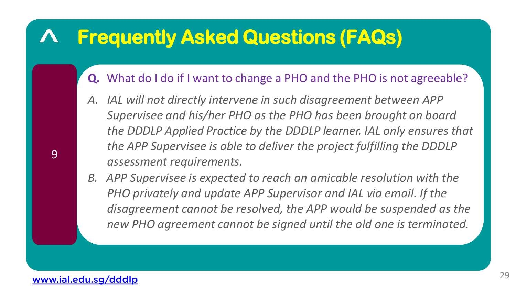- **Q.** What do I do if I want to change a PHO and the PHO is not agreeable?
- *A. IAL will not directly intervene in such disagreement between APP Supervisee and his/her PHO as the PHO has been brought on board the DDDLP Applied Practice by the DDDLP learner. IAL only ensures that the APP Supervisee is able to deliver the project fulfilling the DDDLP assessment requirements.*
- *B. APP Supervisee is expected to reach an amicable resolution with the PHO privately and update APP Supervisor and IAL via email. If the disagreement cannot be resolved, the APP would be suspended as the new PHO agreement cannot be signed until the old one is terminated.*

### [www.ial.edu.sg/dddlp](http://www.ial.edu.sg/dddlp)